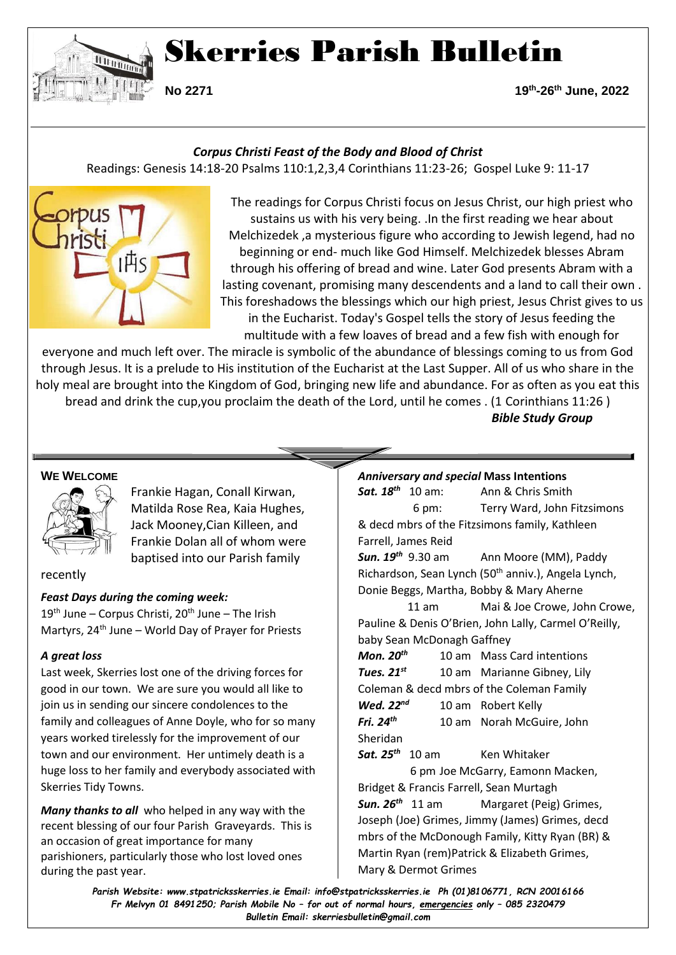

# Skerries Parish Bulletin

**No 2271 19<sup>th</sup> -26th June, 2022**

## *Corpus Christi Feast of the Body and Blood of Christ*

Readings: Genesis 14:18-20 Psalms 110:1,2,3,4 Corinthians 11:23-26; Gospel Luke 9: 11-17



The readings for Corpus Christi focus on Jesus Christ, our high priest who sustains us with his very being. .In the first reading we hear about Melchizedek ,a mysterious figure who according to Jewish legend, had no beginning or end- much like God Himself. Melchizedek blesses Abram through his offering of bread and wine. Later God presents Abram with a lasting covenant, promising many descendents and a land to call their own . This foreshadows the blessings which our high priest, Jesus Christ gives to us in the Eucharist. Today's Gospel tells the story of Jesus feeding the multitude with a few loaves of bread and a few fish with enough for

everyone and much left over. The miracle is symbolic of the abundance of blessings coming to us from God through Jesus. It is a prelude to His institution of the Eucharist at the Last Supper. All of us who share in the holy meal are brought into the Kingdom of God, bringing new life and abundance. For as often as you eat this bread and drink the cup,you proclaim the death of the Lord, until he comes . (1 Corinthians 11:26 )

*Bible Study Group*

## **WE WELCOME**



Frankie Hagan, Conall Kirwan, Matilda Rose Rea, Kaia Hughes, Jack Mooney,Cian Killeen, and Frankie Dolan all of whom were baptised into our Parish family

#### recently

#### *Feast Days during the coming week:*

 $19<sup>th</sup>$  June – Corpus Christi,  $20<sup>th</sup>$  June – The Irish Martyrs,  $24<sup>th</sup>$  June – World Day of Prayer for Priests

## *A great loss*

Last week, Skerries lost one of the driving forces for good in our town. We are sure you would all like to join us in sending our sincere condolences to the family and colleagues of Anne Doyle, who for so many years worked tirelessly for the improvement of our town and our environment. Her untimely death is a huge loss to her family and everybody associated with Skerries Tidy Towns.

*Many thanks to all* who helped in any way with the recent blessing of our four Parish Graveyards. This is an occasion of great importance for many parishioners, particularly those who lost loved ones during the past year.

*Anniversary and special* **Mass Intentions** *Sat. 18th* Ann & Chris Smith 6 pm: Terry Ward, John Fitzsimons & decd mbrs of the Fitzsimons family, Kathleen Farrell, James Reid *Sun. 19th* 9.30 am Ann Moore (MM), Paddy Richardson, Sean Lynch (50<sup>th</sup> anniv.), Angela Lynch, Donie Beggs, Martha, Bobby & Mary Aherne 11 am Mai & Joe Crowe, John Crowe, Pauline & Denis O'Brien, John Lally, Carmel O'Reilly, baby Sean McDonagh Gaffney *Mon. 20th* 10 am Mass Card intentions *Tues. 21st* 10 am Marianne Gibney, Lily Coleman & decd mbrs of the Coleman Family *Wed. 22nd* 10 am Robert Kelly *Fri. 24th* 10 am Norah McGuire, John Sheridan *Sat. 25th* Ken Whitaker 6 pm Joe McGarry, Eamonn Macken, Bridget & Francis Farrell, Sean Murtagh *Sun. 26th* Margaret (Peig) Grimes, Joseph (Joe) Grimes, Jimmy (James) Grimes, decd mbrs of the McDonough Family, Kitty Ryan (BR) & Martin Ryan (rem)Patrick & Elizabeth Grimes, Mary & Dermot Grimes

*Parish Website: www[.stpatricksskerries.ie](mailto:stpatricksskerries.ie) Email: [info@stpatricksskerries.ie](mailto:info@stpatricksskerries.ie) Ph (01)8106771, RCN 20016166 Fr Melvyn 01 8491250; Parish Mobile No – for out of normal hours, emergencies only – 085 2320479 Bulletin Email: skerriesbulletin@gmail.com*